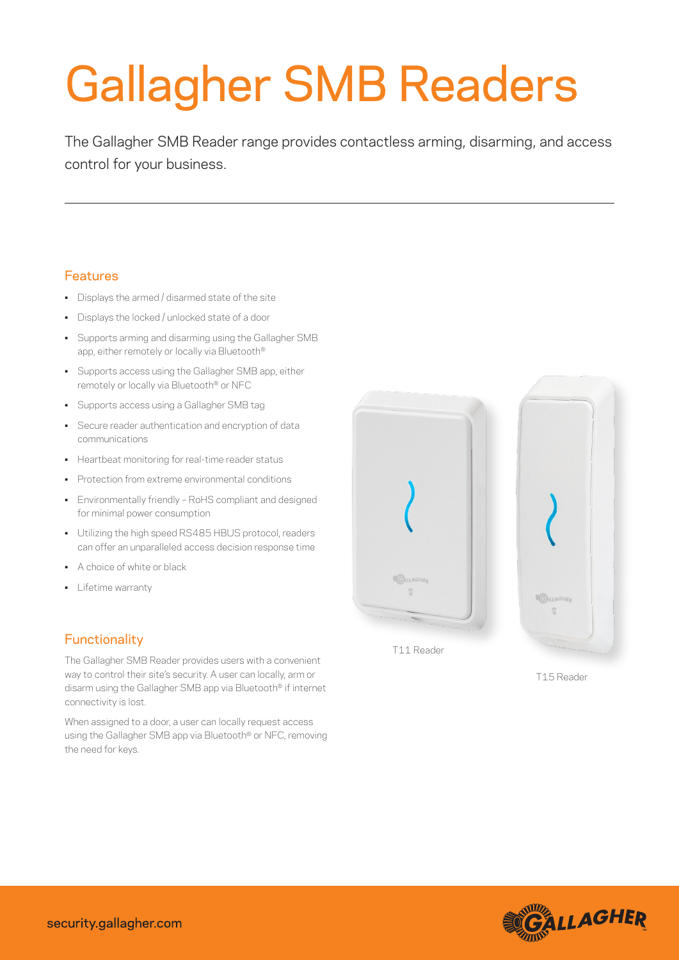# Gallagher SMB Readers

The Gallagher SMB Reader range provides contactless arming, disarming, and access control for your business.

## Features

- Displays the armed / disarmed state of the site
- Displays the locked / unlocked state of a door
- Supports arming and disarming using the Gallagher SMB app, either remotely or locally via Bluetooth®
- Supports access using the Gallagher SMB app, either remotely or locally via Bluetooth® or NFC
- Supports access using a Gallagher SMB tag
- Secure reader authentication and encryption of data communications
- Heartbeat monitoring for real-time reader status
- Protection from extreme environmental conditions
- Environmentally friendly RoHS compliant and designed for minimal power consumption
- Utilizing the high speed RS485 HBUS protocol, readers can offer an unparalleled access decision response time
- A choice of white or black
- Lifetime warranty

## **Functionality**

The Gallagher SMB Reader provides users with a convenient way to control their site's security. A user can locally, arm or disarm using the Gallagher SMB app via Bluetooth® if internet connectivity is lost.

When assigned to a door, a user can locally request access using the Gallagher SMB app via Bluetooth® or NFC, removing the need for keys.



T15 Reader